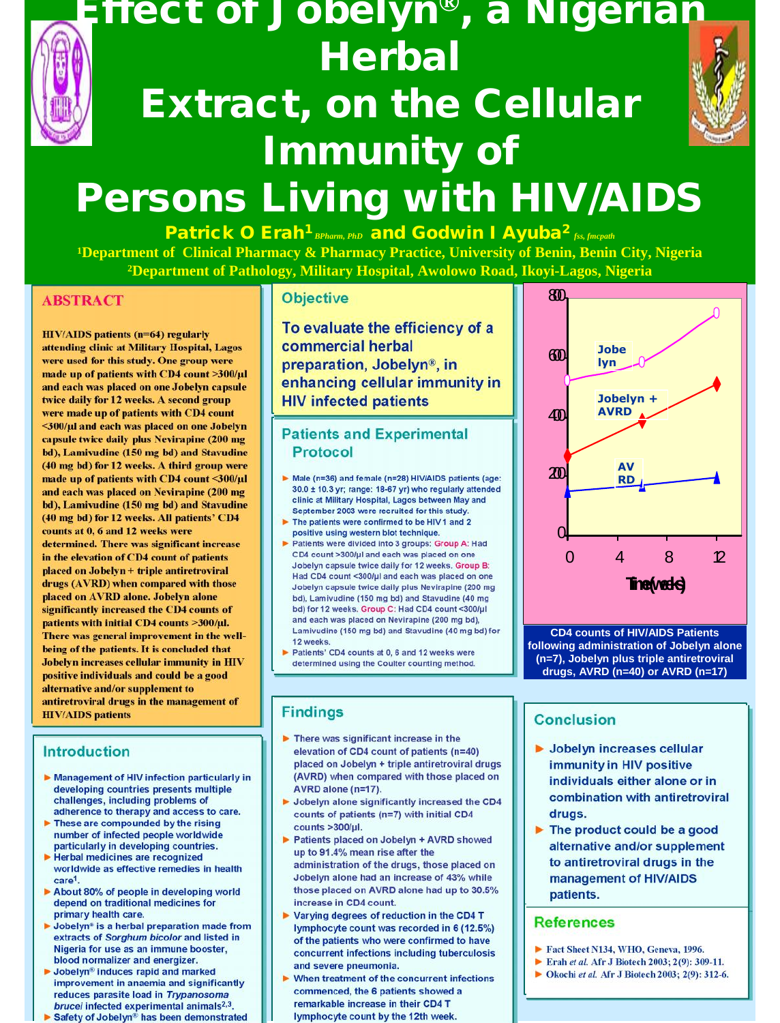

### **Effect of Jobelyn®, a Nigerian Herbal Extract, on the Cellular**



## **Persons Living with HIV/AIDS**

**Immunity of**

**Patrick O Erah<sup>1</sup>** *BPharm, PhD* **and Godwin I Ayuba<sup>2</sup>** *fss, fmcpath* **<sup>1</sup>Department of Clinical Pharmacy & Pharmacy Practice, University of Benin, Benin City, Nigeria <sup>2</sup>Department of Pathology, Military Hospital, Awolowo Road, Ikoyi-Lagos, Nigeria**

#### **ABSTRACT ABSTRACT**

**HIV/AIDS patients (n=64) regularly HIV/AIDS patients (n=64) regularly attending clinic at Military Hospital, Lagos attending clinic at Military Hospital, Lagos were used for this study. One group were were used for this study. One group were made up of patients with CD4 count >300/µl made up of patients with CD4 count >300/µl and each was placed on one Jobelyn capsule and each was placed on one Jobelyn capsule twice daily for 12 weeks. A second group twice daily for 12 weeks. A second group were made up of patients with CD4 count were made up of patients with CD4 count <300/µl and each was placed on one Jobelyn <300/µl and each was placed on one Jobelyn capsule twice daily plus Nevirapine (200 mg capsule twice daily plus Nevirapine (200 mg bd), Lamivudine (150 mg bd) and Stavudine bd), Lamivudine (150 mg bd) and Stavudine (40 mg bd) for 12 weeks. A third group were (40 mg bd) for 12 weeks. A third group were made up of patients with CD4 count <300/µl made up of patients with CD4 count <300/µl and each was placed on Nevirapine (200 mg and each was placed on Nevirapine (200 mg bd), Lamivudine (150 mg bd) and Stavudine bd), Lamivudine (150 mg bd) and Stavudine (40 mg bd) for 12 weeks. All patients' CD4 (40 mg bd) for 12 weeks. All patients' CD4 counts at 0, 6 and 12 weeks were counts at 0, 6 and 12 weeks were determined. There was significant increase determined. There was significant increase in the elevation of CD4 count of patients in the elevation of CD4 count of patients placed on Jobelyn + triple antiretroviral placed on Jobelyn + triple antiretroviral drugs (AVRD) when compared with those drugs (AVRD) when compared with those placed on AVRD alone. Jobelyn alone placed on AVRD alone. Jobelyn alone significantly increased the CD4 counts of significantly increased the CD4 counts of patients with initial CD4 counts >300/µl. patients with initial CD4 counts >300/µl. There was general improvement in the well-There was general improvement in the wellbeing of the patients. It is concluded that being of the patients. It is concluded that Jobelyn increases cellular immunity in HIV Jobelyn increases cellular immunity in HIV positive individuals and could be a good positive individuals and could be a good alternative and/or supplement to alternative and/or supplement to antiretroviral drugs in the management of antiretroviral drugs in the management of HIV/AIDS patients HIV/AIDS patients**

#### **Introduction Introduction**

- **Management of HIV infection particularly in Management of HIV infection particularly in developing countries presents multiple developing countries presents multiple challenges, including problems of challenges, including problems of adherence to therapy and access to care. adherence to therapy and access to care.**
- **These are compounded by the rising These are compounded by the rising number of infected people worldwide number of infected people worldwide particularly in developing countries. particularly in developing countries.**
- **Herbal medicines are recognized Herbal medicines are recognized worldwide as effective remedies in health worldwide as effective remedies in health care1. care1.**
- **About 80% of people in developing world About 80% of people in developing world depend on traditional medicines for depend on traditional medicines for primary health care. primary health care.**
- **Jobelyn® is a herbal preparation made from Jobelyn® is a herbal preparation made from extracts of** *Sorghum bicolor* **and listed in extracts of** *Sorghum bicolor* **and listed in Nigeria for use as an immune booster, Nigeria for use as an immune booster, blood normalizer and energizer. blood normalizer and energizer.**
- **Jobelyn® induces rapid and marked Jobelyn® induces rapid and marked improvement in anaemia and significantly improvement in anaemia and significantly reduces parasite load in** *Trypanosoma* **reduces parasite load in** *Trypanosoma brucei* **infected experimental animals2,3.** *brucei* **infected experimental animals2,3.**
- **Safety of Jobelyn® has been demonstrated Safety of Jobelyn® has been demonstrated in laboratory animals.**

#### **Objective Objective**

**To evaluate the efficiency of a To evaluate the efficiency of a commercial herbal commercial herbal preparation, Jobelyn®, in preparation, Jobelyn®, in enhancing cellular immunity in enhancing cellular immunity in HIV infected patients HIV infected patients**

#### **Patients and Experimental Patients and Experimental Protocol Protocol**

- **Male (n=36) and female (n=28) HIV/AIDS patients (age: Male (n=36) and female (n=28) HIV/AIDS patients (age: 30.0 ± 10.3 yr; range: 18-67 yr) who regularly attended 30.0 ± 10.3 yr; range: 18-67 yr) who regularly attended clinic at Military Hospital, Lagos between May and clinic at Military Hospital, Lagos between May and September 2003 were recruited for this study. September 2003 were recruited for this study. CD4 count (mean)**
- **The patients were confirmed to be HIV 1 and 2 The patients were confirmed to be HIV 1 and 2 positive using western blot technique. positive using western blot technique.**
- **Patients were divided into 3 groups: Group A: Had Patients were divided into 3 groups: Group A: Had CD4 count >300/µl and each was placed on one CD4 count >300/µl and each was placed on one Jobelyn capsule twice daily for 12 weeks. Group B: Jobelyn capsule twice daily for 12 weeks. Group B: Had CD4 count <300/µl and each was placed on one Had CD4 count <300/µl and each was placed on one Jobelyn capsule twice daily plus Nevirapine (200 mg Jobelyn capsule twice daily plus Nevirapine (200 mg bd), Lamivudine (150 mg bd) and Stavudine (40 mg bd), Lamivudine (150 mg bd) and Stavudine (40 mg bd) for 12 weeks. Group C: Had CD4 count <300/µl bd) for 12 weeks. Group C: Had CD4 count <300/µl and each was placed on Nevirapine (200 mg bd), and each was placed on Nevirapine (200 mg bd), Lamivudine (150 mg bd) and Stavudine (40 mg bd) for Lamivudine (150 mg bd) and Stavudine (40 mg bd) for 12 weeks. 12 weeks.**
- **Patients' CD4 counts at 0, 6 and 12 weeks were Patients' CD4 counts at 0, 6 and 12 weeks were determined using the Coulter counting method. determined using the Coulter counting method.**

#### **Findings Findings**

- **There was significant increase in the There was significant increase in the elevation of CD4 count of patients (n=40) elevation of CD4 count of patients (n=40) placed on Jobelyn + triple antiretroviral drugs placed on Jobelyn + triple antiretroviral drugs (AVRD) when compared with those placed on (AVRD) when compared with those placed on AVRD alone (n=17). AVRD alone (n=17).**
- **Jobelyn alone significantly increased the CD4 Jobelyn alone significantly increased the CD4 counts of patients (n=7) with initial CD4 counts of patients (n=7) with initial CD4 counts >300/µl. counts >300/µl.**
- **Patients placed on Jobelyn + AVRD showed Patients placed on Jobelyn + AVRD showed up to 91.4% mean rise after the up to 91.4% mean rise after the administration of the drugs, those placed on administration of the drugs, those placed on Jobelyn alone had an increase of 43% while Jobelyn alone had an increase of 43% while those placed on AVRD alone had up to 30.5% those placed on AVRD alone had up to 30.5% increase in CD4 count. increase in CD4 count.**
- **Varying degrees of reduction in the CD4 T Varying degrees of reduction in the CD4 T lymphocyte count was recorded in 6 (12.5%) lymphocyte count was recorded in 6 (12.5%) of the patients who were confirmed to have of the patients who were confirmed to have concurrent infections including tuberculosis concurrent infections including tuberculosis and severe pneumonia. and severe pneumonia.**
- **When treatment of the concurrent infections When treatment of the concurrent infections commenced, the 6 patients showed a commenced, the 6 patients showed a remarkable increase in their CD4 T remarkable increase in their CD4 T lymphocyte count by the 12th week. lymphocyte count by the 12th week.**



**CD4 counts of HIV/AIDS Patients following administration of Jobelyn alone (n=7), Jobelyn plus triple antiretroviral drugs, AVRD (n=40) or AVRD (n=17)**

#### **Conclusion Conclusion**

- **Jobelyn increases cellular Jobelyn increases cellular immunity in HIV positive immunity in HIV positive individuals either alone or in individuals either alone or in combination with antiretroviral combination with antiretroviral drugs. drugs.**
- **The product could be a good The product could be a good alternative and/or supplement alternative and/or supplement to antiretroviral drugs in the to antiretroviral drugs in the management of HIV/AIDS management of HIV/AIDS patients. patients.**

#### **References References**

- **Fact Sheet N134, WHO, Geneva, 1996. Fact Sheet N134, WHO, Geneva, 1996.**
- **Erah** *et al.* **Afr J Biotech 2003; 2(9): 309-11. Erah** *et al.* **Afr J Biotech 2003; 2(9): 309-11.**
	- **Okochi** *et al.* **Afr J Biotech 2003; 2(9): 312-6. Okochi** *et al.* **Afr J Biotech 2003; 2(9): 312-6.**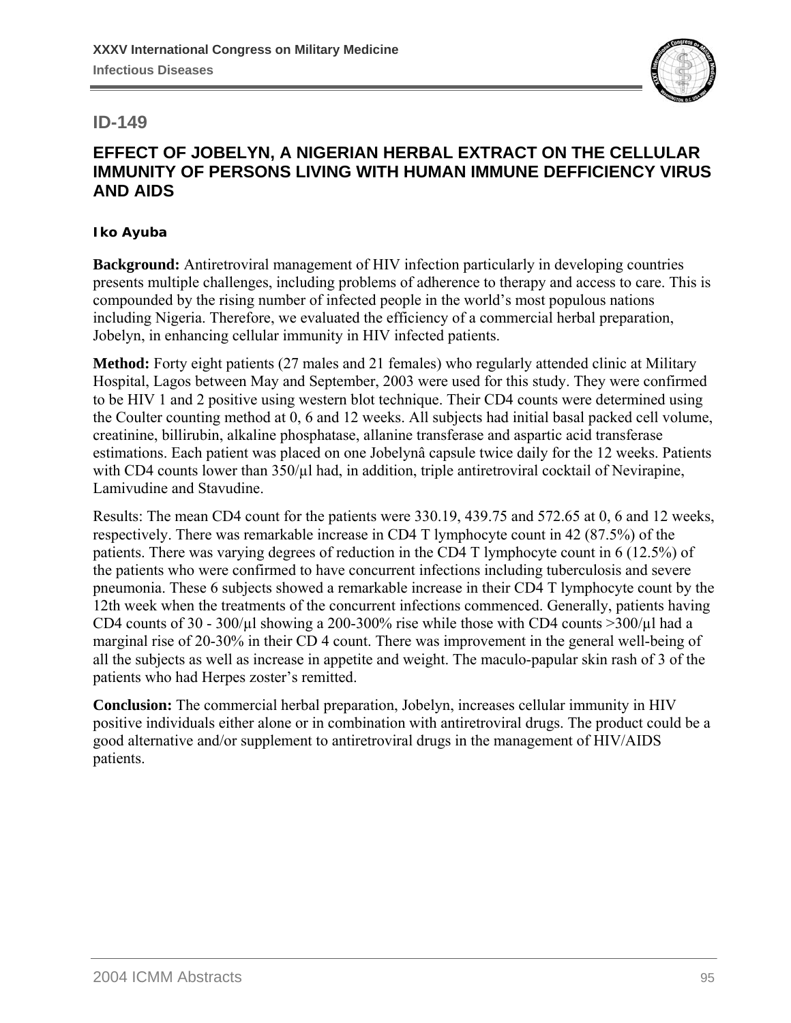

#### **ID-149**

#### **EFFECT OF JOBELYN, A NIGERIAN HERBAL EXTRACT ON THE CELLULAR IMMUNITY OF PERSONS LIVING WITH HUMAN IMMUNE DEFFICIENCY VIRUS AND AIDS**

#### **Iko Ayuba**

**Background:** Antiretroviral management of HIV infection particularly in developing countries presents multiple challenges, including problems of adherence to therapy and access to care. This is compounded by the rising number of infected people in the world's most populous nations including Nigeria. Therefore, we evaluated the efficiency of a commercial herbal preparation, Jobelyn, in enhancing cellular immunity in HIV infected patients.

**Method:** Forty eight patients (27 males and 21 females) who regularly attended clinic at Military Hospital, Lagos between May and September, 2003 were used for this study. They were confirmed to be HIV 1 and 2 positive using western blot technique. Their CD4 counts were determined using the Coulter counting method at 0, 6 and 12 weeks. All subjects had initial basal packed cell volume, creatinine, billirubin, alkaline phosphatase, allanine transferase and aspartic acid transferase estimations. Each patient was placed on one Jobelynâ capsule twice daily for the 12 weeks. Patients with CD4 counts lower than  $350/\mu$ l had, in addition, triple antiretroviral cocktail of Nevirapine, Lamivudine and Stavudine.

Results: The mean CD4 count for the patients were 330.19, 439.75 and 572.65 at 0, 6 and 12 weeks, respectively. There was remarkable increase in CD4 T lymphocyte count in 42 (87.5%) of the patients. There was varying degrees of reduction in the CD4 T lymphocyte count in 6 (12.5%) of the patients who were confirmed to have concurrent infections including tuberculosis and severe pneumonia. These 6 subjects showed a remarkable increase in their CD4 T lymphocyte count by the 12th week when the treatments of the concurrent infections commenced. Generally, patients having CD4 counts of 30 - 300/ $\mu$ l showing a 200-300% rise while those with CD4 counts >300/ $\mu$ l had a marginal rise of 20-30% in their CD 4 count. There was improvement in the general well-being of all the subjects as well as increase in appetite and weight. The maculo-papular skin rash of 3 of the patients who had Herpes zoster's remitted.

**Conclusion:** The commercial herbal preparation, Jobelyn, increases cellular immunity in HIV positive individuals either alone or in combination with antiretroviral drugs. The product could be a good alternative and/or supplement to antiretroviral drugs in the management of HIV/AIDS patients.